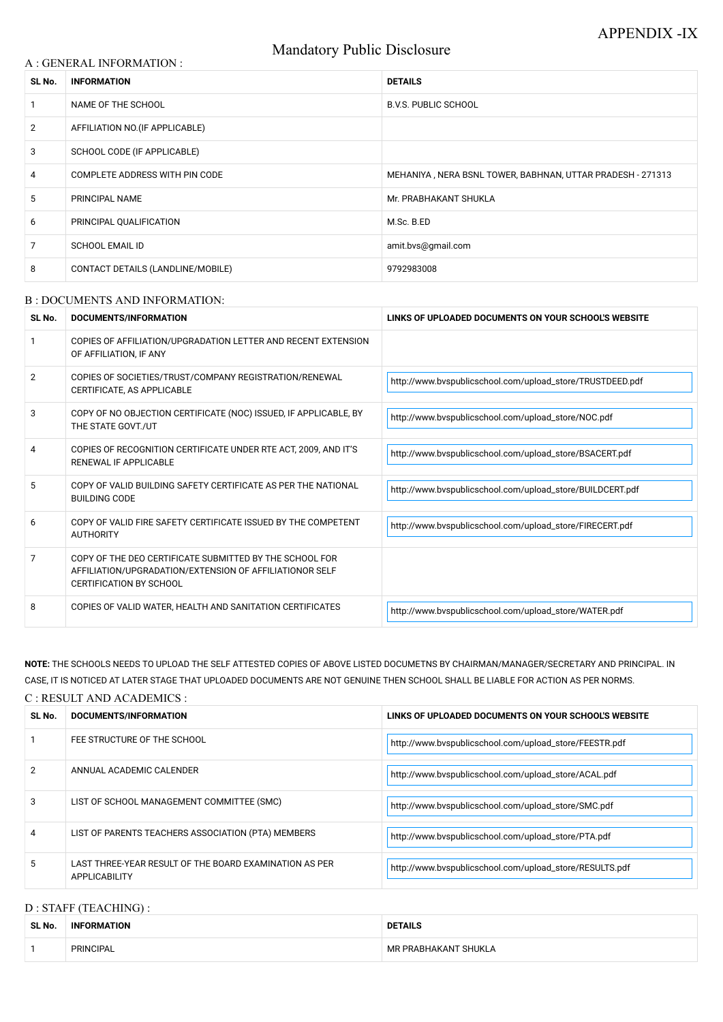# Mandatory Public Disclosure

#### A : GENERAL INFORMATION :

| SL No.         | <b>INFORMATION</b>                | <b>DETAILS</b>                                             |  |
|----------------|-----------------------------------|------------------------------------------------------------|--|
|                | NAME OF THE SCHOOL                | <b>B.V.S. PUBLIC SCHOOL</b>                                |  |
| $\overline{2}$ | AFFILIATION NO. (IF APPLICABLE)   |                                                            |  |
| 3              | SCHOOL CODE (IF APPLICABLE)       |                                                            |  |
| $\overline{4}$ | COMPLETE ADDRESS WITH PIN CODE    | MEHANIYA, NERA BSNL TOWER, BABHNAN, UTTAR PRADESH - 271313 |  |
| 5              | PRINCIPAL NAME                    | Mr. PRABHAKANT SHUKLA                                      |  |
| 6              | PRINCIPAL QUALIFICATION           | M.Sc. B.ED                                                 |  |
| $\overline{7}$ | <b>SCHOOL EMAIL ID</b>            | amit.bvs@gmail.com                                         |  |
| 8              | CONTACT DETAILS (LANDLINE/MOBILE) | 9792983008                                                 |  |

#### B : DOCUMENTS AND INFORMATION:

| SL No.         | <b>DOCUMENTS/INFORMATION</b>                                                                                                                         | LINKS OF UPLOADED DOCUMENTS ON YOUR SCHOOL'S WEBSITE      |  |
|----------------|------------------------------------------------------------------------------------------------------------------------------------------------------|-----------------------------------------------------------|--|
|                | COPIES OF AFFILIATION/UPGRADATION LETTER AND RECENT EXTENSION<br>OF AFFILIATION, IF ANY                                                              |                                                           |  |
| $\overline{2}$ | COPIES OF SOCIETIES/TRUST/COMPANY REGISTRATION/RENEWAL<br>CERTIFICATE, AS APPLICABLE                                                                 | http://www.bvspublicschool.com/upload_store/TRUSTDEED.pdf |  |
| 3              | COPY OF NO OBJECTION CERTIFICATE (NOC) ISSUED, IF APPLICABLE, BY<br>THE STATE GOVT./UT                                                               | http://www.bvspublicschool.com/upload_store/NOC.pdf       |  |
| 4              | COPIES OF RECOGNITION CERTIFICATE UNDER RTE ACT, 2009, AND IT'S<br><b>RENEWAL IF APPLICABLE</b>                                                      | http://www.bvspublicschool.com/upload_store/BSACERT.pdf   |  |
| 5              | COPY OF VALID BUILDING SAFETY CERTIFICATE AS PER THE NATIONAL<br><b>BUILDING CODE</b>                                                                | http://www.bvspublicschool.com/upload_store/BUILDCERT.pdf |  |
| 6              | COPY OF VALID FIRE SAFETY CERTIFICATE ISSUED BY THE COMPETENT<br><b>AUTHORITY</b>                                                                    | http://www.bvspublicschool.com/upload_store/FIRECERT.pdf  |  |
| 7              | COPY OF THE DEO CERTIFICATE SUBMITTED BY THE SCHOOL FOR<br>AFFILIATION/UPGRADATION/EXTENSION OF AFFILIATIONOR SELF<br><b>CERTIFICATION BY SCHOOL</b> |                                                           |  |
| 8              | COPIES OF VALID WATER, HEALTH AND SANITATION CERTIFICATES                                                                                            | http://www.bvspublicschool.com/upload_store/WATER.pdf     |  |

# **NOTE:** THE SCHOOLS NEEDS TO UPLOAD THE SELF ATTESTED COPIES OF ABOVE LISTED DOCUMETNS BY CHAIRMAN/MANAGER/SECRETARY AND PRINCIPAL. IN CASE, IT IS NOTICED AT LATER STAGE THAT UPLOADED DOCUMENTS ARE NOT GENUINE THEN SCHOOL SHALL BE LIABLE FOR ACTION AS PER NORMS.

| C: RESULT AND ACADEMICS: |                                                                                |                                                         |  |
|--------------------------|--------------------------------------------------------------------------------|---------------------------------------------------------|--|
| SL No.                   | DOCUMENTS/INFORMATION                                                          | LINKS OF UPLOADED DOCUMENTS ON YOUR SCHOOL'S WEBSITE    |  |
|                          | FEE STRUCTURE OF THE SCHOOL                                                    | http://www.bvspublicschool.com/upload_store/FEESTR.pdf  |  |
|                          | ANNUAL ACADEMIC CALENDER                                                       | http://www.bvspublicschool.com/upload_store/ACAL.pdf    |  |
| 3                        | LIST OF SCHOOL MANAGEMENT COMMITTEE (SMC)                                      | http://www.bvspublicschool.com/upload_store/SMC.pdf     |  |
|                          | LIST OF PARENTS TEACHERS ASSOCIATION (PTA) MEMBERS                             | http://www.bvspublicschool.com/upload_store/PTA.pdf     |  |
| 5                        | LAST THREE-YEAR RESULT OF THE BOARD EXAMINATION AS PER<br><b>APPLICABILITY</b> | http://www.bvspublicschool.com/upload_store/RESULTS.pdf |  |

# D : STAFF (TEACHING) :

| SL No. | <b>INFORMATION</b> | <b>DETAILS</b>       |  |
|--------|--------------------|----------------------|--|
|        | <b>PRINCIPAL</b>   | MR PRABHAKANT SHUKLA |  |